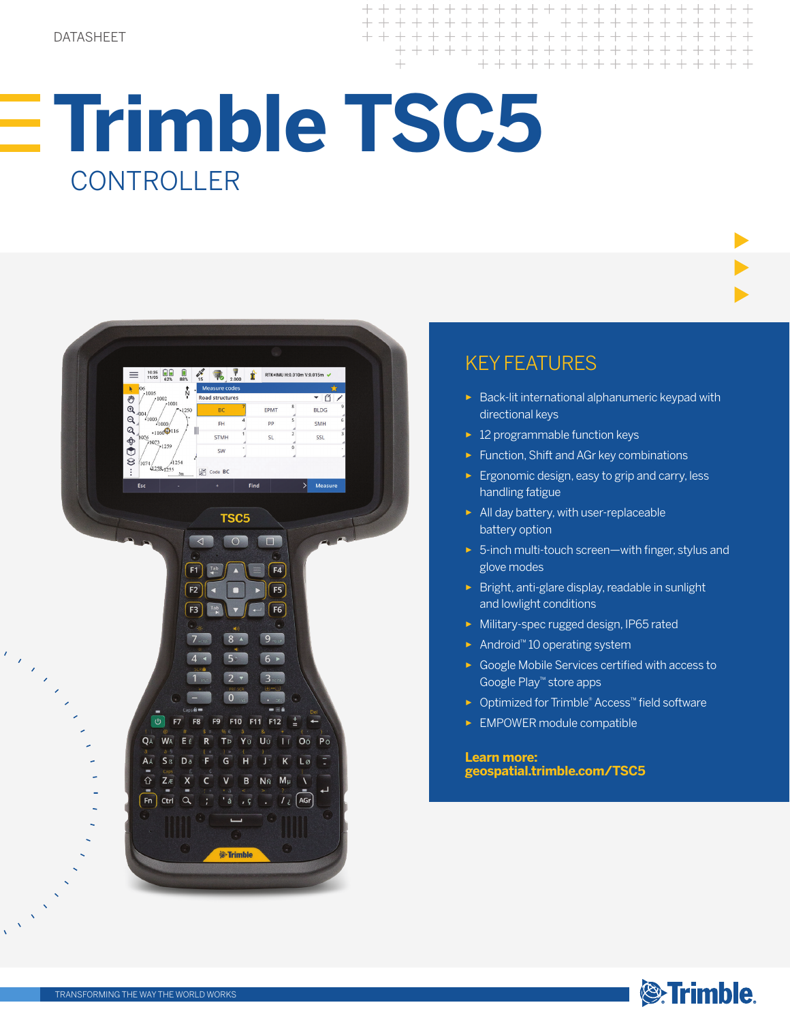+ + + + + + + + + + + + + + + + + + + + + + + + + + + + + + + + + + + + + + + + + + + + + + + + + +

# **Trimble TSC5**  CONTROLLER



## KEY FEATURES

- ► Back-lit international alphanumeric keypad with directional keys
- ► 12 programmable function keys
- ► Function, Shift and AGr key combinations
- ► Ergonomic design, easy to grip and carry, less handling fatigue
- ► All day battery, with user-replaceable battery option
- ► 5-inch multi-touch screen—with finger, stylus and glove modes
- ► Bright, anti-glare display, readable in sunlight and lowlight conditions
- ► Military-spec rugged design, IP65 rated
- ► Android™ 10 operating system
- ► Google Mobile Services certified with access to Google Play™ store apps
- ► Optimized for Trimble® Access™ field software
- ► EMPOWER module compatible

**Learn more: geospatial.trimble.com/TSC5**